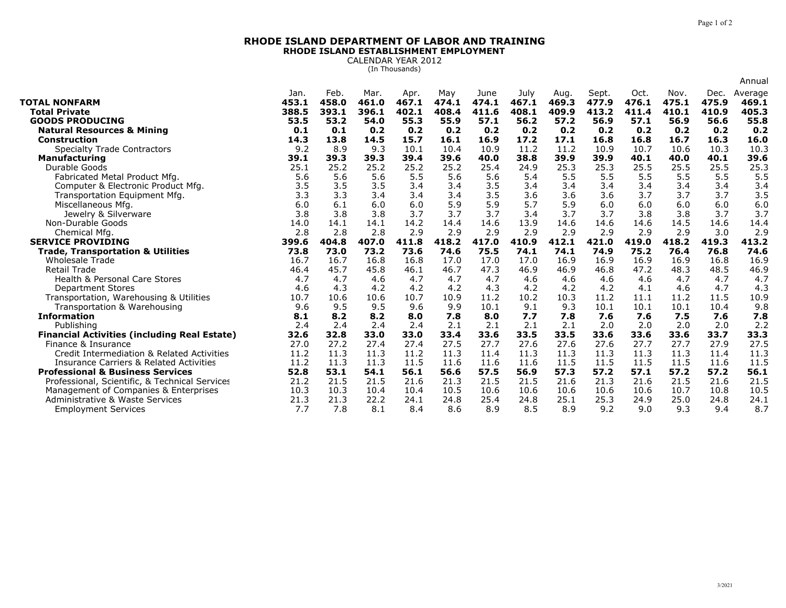## **RHODE ISLAND DEPARTMENT OF LABOR AND TRAININGRHODE ISLAND ESTABLISHMENT EMPLOYMENT**

CALENDAR YEAR 2012 (In Thousands)

|                                                     |                        |                        |                        |                        |                       |                        |                        |                        |                |                        |                        |                        | Annual                    |
|-----------------------------------------------------|------------------------|------------------------|------------------------|------------------------|-----------------------|------------------------|------------------------|------------------------|----------------|------------------------|------------------------|------------------------|---------------------------|
| <b>TOTAL NONFARM</b><br><b>Total Private</b>        | Jan.<br>453.1<br>388.5 | Feb.<br>458.0<br>393.1 | Mar.<br>461.0<br>396.1 | Apr.<br>467.1<br>402.1 | May<br>474.1<br>408.4 | June<br>474.1<br>411.6 | July<br>467.1<br>408.1 | Aug.<br>469.3<br>409.9 | Sept.<br>477.9 | Oct.<br>476.1<br>411.4 | Nov.<br>475.1<br>410.1 | Dec.<br>475.9<br>410.9 | Average<br>469.1<br>405.3 |
| <b>GOODS PRODUCING</b>                              | 53.5                   | 53.2                   | 54.0                   | 55.3                   | 55.9                  | 57.1                   | 56.2                   | 57.2                   | 413.2<br>56.9  | 57.1                   | 56.9                   | 56.6                   | 55.8                      |
| <b>Natural Resources &amp; Mining</b>               | 0.1                    | 0.1                    | 0.2                    | 0.2                    | 0.2                   | 0.2                    | 0.2                    | 0.2                    | 0.2            | 0.2                    | 0.2                    | 0.2                    | 0.2                       |
| <b>Construction</b>                                 | 14.3                   | 13.8                   | 14.5                   | 15.7                   | 16.1                  | 16.9                   | 17.2                   | 17.1                   | 16.8           | 16.8                   | 16.7                   | 16.3                   | 16.0                      |
| <b>Specialty Trade Contractors</b>                  | 9.2                    | 8.9                    | 9.3                    | 10.1                   | 10.4                  | 10.9                   | 11.2                   | 11.2                   | 10.9           | 10.7                   | 10.6                   | 10.3                   | 10.3                      |
| <b>Manufacturing</b>                                | 39.1                   | 39.3                   | 39.3                   | 39.4                   | 39.6                  | 40.0                   | 38.8                   | 39.9                   | 39.9           | 40.1                   | 40.0                   | 40.1                   | 39.6                      |
| Durable Goods                                       | 25.1                   | 25.2                   | 25.2                   | 25.2                   | 25.2                  | 25.4                   | 24.9                   | 25.3                   | 25.3           | 25.5                   | 25.5                   | 25.5                   | 25.3                      |
| Fabricated Metal Product Mfg.                       | 5.6                    | 5.6                    | 5.6                    | 5.5                    | 5.6                   | 5.6                    | 5.4                    | 5.5                    | 5.5            | 5.5                    | 5.5                    | 5.5                    | 5.5                       |
| Computer & Electronic Product Mfg.                  | 3.5                    | 3.5                    | 3.5                    | 3.4                    | 3.4                   | 3.5                    | 3.4                    | 3.4                    | 3.4            | 3.4                    | 3.4                    | 3.4                    | 3.4                       |
| Transportation Equipment Mfg.                       | 3.3                    | 3.3                    | 3.4                    | 3.4                    | 3.4                   | 3.5                    | 3.6                    | 3.6                    | 3.6            | 3.7                    | 3.7                    | 3.7                    | 3.5                       |
| Miscellaneous Mfg.                                  | 6.0                    | 6.1                    | 6.0                    | 6.0                    | 5.9                   | 5.9                    | 5.7                    | 5.9                    | 6.0            | 6.0                    | 6.0                    | 6.0                    | 6.0                       |
| Jewelry & Silverware                                | 3.8                    | 3.8                    | 3.8                    | 3.7                    | 3.7                   | 3.7                    | 3.4                    | 3.7                    | 3.7            | 3.8                    | 3.8                    | 3.7                    | 3.7                       |
| Non-Durable Goods                                   | 14.0                   | 14.1                   | 14.1                   | 14.2                   | 14.4                  | 14.6                   | 13.9                   | 14.6                   | 14.6           | 14.6                   | 14.5                   | 14.6                   | 14.4                      |
| Chemical Mfg                                        | 2.8                    | 2.8                    | 2.8                    | 2.9                    | 2.9                   | 2.9                    | 2.9                    | 2.9                    | 2.9            | 2.9                    | 2.9                    | 3.0                    | 2.9                       |
| <b>SERVICE PROVIDING</b>                            | 399.6                  | 404.8                  | 407.0                  | 411.8                  | 418.2                 | 417.0                  | 410.9                  | 412.1                  | 421.0          | 419.0                  | 418.2                  | 419.3                  | 413.2                     |
| <b>Trade, Transportation &amp; Utilities</b>        | 73.8                   | 73.0                   | 73.2                   | 73.6                   | 74.6                  | 75.5                   | 74.1                   | 74.1                   | 74.9           | 75.2                   | 76.4                   | 76.8                   | 74.6                      |
| <b>Wholesale Trade</b>                              | 16.7                   | 16.7                   | 16.8                   | 16.8                   | 17.0                  | 17.0                   | 17.0                   | 16.9                   | 16.9           | 16.9                   | 16.9                   | 16.8                   | 16.9                      |
| <b>Retail Trade</b>                                 | 46.4                   | 45.7                   | 45.8                   | 46.1                   | 46.7                  | 47.3                   | 46.9                   | 46.9                   | 46.8           | 47.2                   | 48.3                   | 48.5                   | 46.9                      |
| <b>Health &amp; Personal Care Stores</b>            | 4.7                    | 4.7                    | 4.6                    | 4.7                    | 4.7                   | 4.7                    | 4.6                    | 4.6                    | 4.6            | 4.6                    | 4.7                    | 4.7                    | 4.7                       |
| <b>Department Stores</b>                            | 4.6                    | 4.3                    | 4.2                    | 4.2                    | 4.2                   | 4.3                    | 4.2                    | 4.2                    | 4.2            | 4.1                    | 4.6                    | 4.7                    | 4.3                       |
| Transportation, Warehousing & Utilities             | 10.7                   | 10.6                   | 10.6                   | 10.7                   | 10.9                  | 11.2                   | 10.2                   | 10.3                   | 11.2           | 11.1                   | 11.2                   | 11.5                   | 10.9                      |
| Transportation & Warehousing                        | 9.6                    | 9.5                    | 9.5                    | 9.6                    | 9.9                   | 10.1                   | 9.1                    | 9.3                    | 10.1           | 10.1                   | 10.1                   | 10.4                   | 9.8                       |
| <b>Information</b>                                  | 8.1                    | 8.2                    | 8.2                    | 8.0                    | 7.8                   | 8.0                    | 7.7                    | 7.8                    | 7.6            | 7.6                    | 7.5                    | 7.6                    | 7.8                       |
| Publishina                                          | 2.4                    | 2.4                    | 2.4                    | 2.4                    | 2.1                   | 2.1                    | 2.1                    | 2.1                    | 2.0            | 2.0                    | 2.0                    | 2.0                    | 2.2                       |
| <b>Financial Activities (including Real Estate)</b> | 32.6                   | 32.8                   | 33.0                   | 33.0                   | 33.4                  | 33.6                   | 33.5                   | 33.5                   | 33.6           | 33.6                   | 33.6                   | 33.7                   | 33.3                      |
| Finance & Insurance                                 | 27.0                   | 27.2                   | 27.4                   | 27.4                   | 27.5                  | 27.7                   | 27.6                   | 27.6                   | 27.6           | 27.7                   | 27.7                   | 27.9                   | 27.5                      |
| Credit Intermediation & Related Activities          | 11.2                   | 11.3                   | 11.3                   | 11.2                   | 11.3                  | 11.4                   | 11.3                   | 11.3                   | 11.3           | 11.3                   | 11.3                   | 11.4                   | 11.3                      |
| <b>Insurance Carriers &amp; Related Activities</b>  | 11.2                   | 11.3                   | 11.3                   | 11.5                   | 11.6                  | 11.6                   | 11.6                   | 11.5                   | 11.5           | 11.5                   | 11.5                   | 11.6                   | 11.5                      |
| <b>Professional &amp; Business Services</b>         | 52.8                   | 53.1                   | 54.1                   | 56.1                   | 56.6                  | 57.5                   | 56.9                   | 57.3                   | 57.2           | 57.1                   | 57.2                   | 57.2                   | 56.1                      |
| Professional, Scientific, & Technical Services      | 21.2                   | 21.5                   | 21.5                   | 21.6                   | 21.3                  | 21.5                   | 21.5                   | 21.6                   | 21.3           | 21.6                   | 21.5                   | 21.6                   | 21.5                      |
| Management of Companies & Enterprises               | 10.3                   | 10.3                   | 10.4                   | 10.4                   | 10.5                  | 10.6                   | 10.6                   | 10.6                   | 10.6           | 10.6                   | 10.7                   | 10.8                   | 10.5                      |
| Administrative & Waste Services                     | 21.3                   | 21.3                   | 22.2                   | 24.1                   | 24.8                  | 25.4                   | 24.8                   | 25.1                   | 25.3           | 24.9                   | 25.0                   | 24.8                   | 24.1                      |
| <b>Employment Services</b>                          | 7.7                    | 7.8                    | 8.1                    | 8.4                    | 8.6                   | 8.9                    | 8.5                    | 8.9                    | 9.2            | 9.0                    | 9.3                    | 9.4                    | 8.7                       |